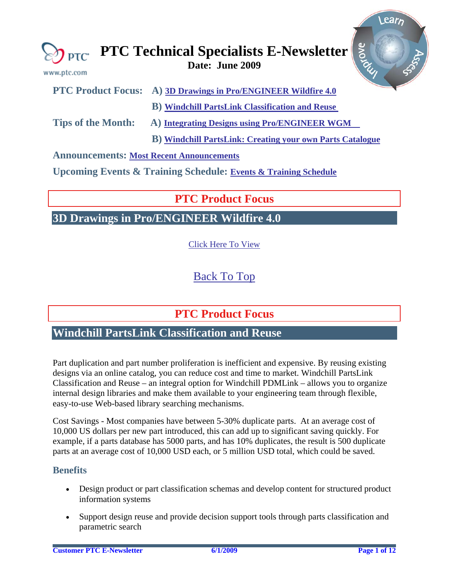<span id="page-0-0"></span>

 **B) [Windchill PartsLink: Creating your own Parts Catalogue](#page-2-0)** 

**Announcements: [Most Recent Announcements](#page-8-0)**

**Upcoming Events & Training Schedule: [Events & Training Schedule](#page-10-0)**

# **PTC Product Focus**

**3D Drawings in Pro/ENGINEER Wildfire 4.0** 

[Click Here To View](http://members.shaw.ca/jpeng/newsletter/PTC_Technical_Specialists_E-Newsletter_2009_06_desktop.pdf)

[Back To Top](#page-0-0)

**PTC Product Focus** 

**Windchill PartsLink Classification and Reuse** 

Part duplication and part number proliferation is inefficient and expensive. By reusing existing designs via an online catalog, you can reduce cost and time to market. Windchill PartsLink Classification and Reuse – an integral option for Windchill PDMLink – allows you to organize internal design libraries and make them available to your engineering team through flexible, easy-to-use Web-based library searching mechanisms.

Cost Savings - Most companies have between 5-30% duplicate parts. At an average cost of 10,000 US dollars per new part introduced, this can add up to significant saving quickly. For example, if a parts database has 5000 parts, and has 10% duplicates, the result is 500 duplicate parts at an average cost of 10,000 USD each, or 5 million USD total, which could be saved.

## **Benefits**

- Design product or part classification schemas and develop content for structured product information systems
- Support design reuse and provide decision support tools through parts classification and parametric search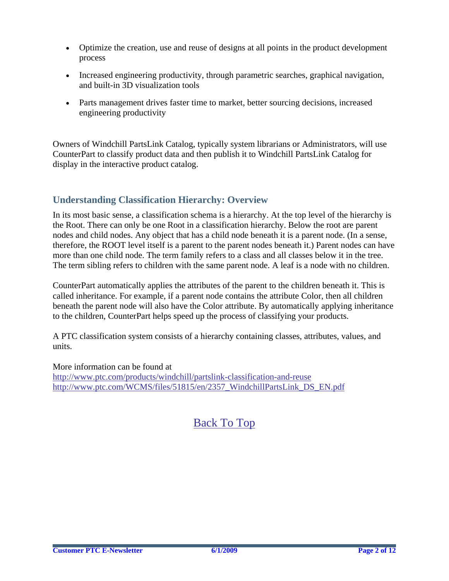- Optimize the creation, use and reuse of designs at all points in the product development process
- Increased engineering productivity, through parametric searches, graphical navigation, and built-in 3D visualization tools
- Parts management drives faster time to market, better sourcing decisions, increased engineering productivity

Owners of Windchill PartsLink Catalog, typically system librarians or Administrators, will use CounterPart to classify product data and then publish it to Windchill PartsLink Catalog for display in the interactive product catalog.

## **Understanding Classification Hierarchy: Overview**

In its most basic sense, a classification schema is a hierarchy. At the top level of the hierarchy is the Root. There can only be one Root in a classification hierarchy. Below the root are parent nodes and child nodes. Any object that has a child node beneath it is a parent node. (In a sense, therefore, the ROOT level itself is a parent to the parent nodes beneath it.) Parent nodes can have more than one child node. The term family refers to a class and all classes below it in the tree. The term sibling refers to children with the same parent node. A leaf is a node with no children.

CounterPart automatically applies the attributes of the parent to the children beneath it. This is called inheritance. For example, if a parent node contains the attribute Color, then all children beneath the parent node will also have the Color attribute. By automatically applying inheritance to the children, CounterPart helps speed up the process of classifying your products.

A PTC classification system consists of a hierarchy containing classes, attributes, values, and units.

More information can be found at <http://www.ptc.com/products/windchill/partslink-classification-and-reuse> [http://www.ptc.com/WCMS/files/51815/en/2357\\_WindchillPartsLink\\_DS\\_EN.pdf](http://www.ptc.com/WCMS/files/51815/en/2357_WindchillPartsLink_DS_EN.pdf)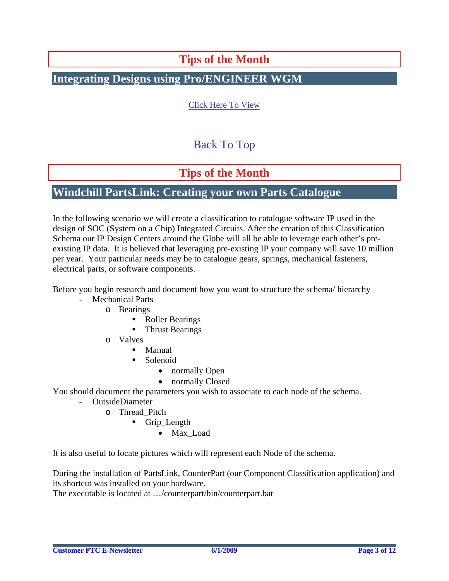# **Tips of the Month**

# <span id="page-2-0"></span>**Integrating Designs using Pro/ENGINEER WGM**

[Click Here To View](http://members.shaw.ca/jpeng/newsletter/PTC_Technical_Specialists_E-Newsletter_2009_06_desktop.pdf)

# [Back To Top](#page-0-0)

# **Tips of the Month**

## **Windchill PartsLink: Creating your own Parts Catalogue**

In the following scenario we will create a classification to catalogue software IP used in the design of SOC (System on a Chip) Integrated Circuits. After the creation of this Classification Schema our IP Design Centers around the Globe will all be able to leverage each other's preexisting IP data. It is believed that leveraging pre-existing IP your company will save 10 million per year. Your particular needs may be to catalogue gears, springs, mechanical fasteners, electrical parts, or software components.

Before you begin research and document how you want to structure the schema/ hierarchy

- Mechanical Parts
	- o Bearings
		- Roller Bearings
		- Thrust Bearings
	- o Valves
		- Manual
		- Solenoid
			- normally Open
			- normally Closed

You should document the parameters you wish to associate to each node of the schema.

- OutsideDiameter
	- o Thread\_Pitch
		- Grip Length
			- Max Load

It is also useful to locate pictures which will represent each Node of the schema.

During the installation of PartsLink, CounterPart (our Component Classification application) and its shortcut was installed on your hardware.

The executable is located at …/counterpart/bin/counterpart.bat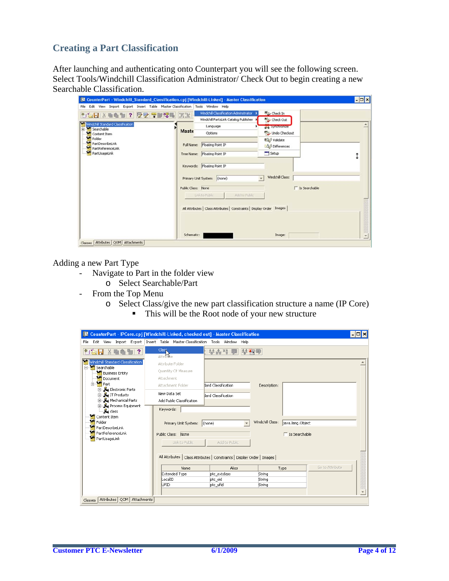## **Creating a Part Classification**

After launching and authenticating onto Counterpart you will see the following screen. Select Tools/Windchill Classification Administrator/ Check Out to begin creating a new Searchable Classification.

| <b>38 CounterPart - Windchill_Standard_Classification.cpj [Windchill-Linked] - Master Classification</b><br>File Edit View Import Export Insert Table Master-Classification Tools Window Help |                                                                                                                                                                                                             |                                                                                                          | $F = \mathbf{z}$ |
|-----------------------------------------------------------------------------------------------------------------------------------------------------------------------------------------------|-------------------------------------------------------------------------------------------------------------------------------------------------------------------------------------------------------------|----------------------------------------------------------------------------------------------------------|------------------|
| Windchill Standard Classification<br>Searchable<br><b>M</b> Content Item<br>Folder<br>PartDescribeLink                                                                                        | Windchill Classification Administrator ><br>Windchill PartsLink Catalog Publisher<br>Language<br>Maste<br>Options<br>Full Name: Floating Point IP                                                           | ty Check In<br>Ly Check Out<br><b>But Syntercome</b><br>Undo Checkout<br>EQU Validate<br>LOJ Differences |                  |
| PartReferenceLink<br>PartUsageLink                                                                                                                                                            | Tree Name: Floating Point IP                                                                                                                                                                                | Setup                                                                                                    |                  |
|                                                                                                                                                                                               | Keywords: Floating Point IP<br>Primary Unit System: (none)<br>Public Class: None<br>Link to Public<br>Add to Public<br>All Attributes   Class Attributes   Constraints   Display Order Images<br>Schematic: | Windchill Class:<br>□ Is Searchable<br>Image:                                                            |                  |

Adding a new Part Type

- Navigate to Part in the folder view
	- o Select Searchable/Part
- From the Top Menu
	- o Select Class/give the new part classification structure a name (IP Core) ■ This will be the Root node of your new structure

| ■ CounterPart - IPCore.cpj [Windchill-Linked, checked out] - Master Classification |                                           |                                                                          |                                      | $ \Box$ $\times$ |
|------------------------------------------------------------------------------------|-------------------------------------------|--------------------------------------------------------------------------|--------------------------------------|------------------|
| File Edit View Import Export Insert Table Master-Classification Tools Window Help  |                                           |                                                                          |                                      |                  |
| SH X<br>2                                                                          | Class.<br><b>Attribute</b>                | 부총적/奧<br>学图学                                                             |                                      |                  |
| Windchill Standard Classification<br>Searchable<br>F<br><b>M</b> Business Entity   | Attribute Folder<br>Quantity Of Measure   |                                                                          |                                      |                  |
| Document                                                                           | Attachment                                |                                                                          |                                      |                  |
| ⊟— <mark>nel</mark> Part                                                           | Attachment Folder                         | dard Classification                                                      | Description:                         |                  |
| E Hy Electronic Parts<br>E Full IT Products<br>E Mechanical Parts                  | New Data Set<br>Add Public Classification | dard Classification                                                      |                                      |                  |
| 由… <mark>片</mark> ,Process Equipment<br>- <mark>f</mark> a <sub>i</sub> class      | Keywords:                                 |                                                                          |                                      |                  |
| Content Item<br>Folder<br>ъ<br>PartDescribeLink                                    | Primary Unit System: (none)               |                                                                          | Windchill Class:<br>java.lang.Object |                  |
| PartReferenceLink<br>PartUsageLink                                                 | Public Class: None<br>Link to Public      | Add to Public                                                            | $\Box$ Is Searchable                 |                  |
|                                                                                    |                                           | All Attributes   Class Attributes   Constraints   Display Order   Images |                                      |                  |
|                                                                                    | Name.                                     | Alias                                                                    | Type                                 | Go to Attribute  |
|                                                                                    | Extended Type                             | ptc_extclass                                                             | String                               |                  |
|                                                                                    | LocalID<br>UFID                           | ptc_oid<br>ptc_ufid                                                      | String<br>String                     |                  |
|                                                                                    |                                           |                                                                          |                                      |                  |
| Attributes QOM Attachments<br>Classes                                              |                                           |                                                                          |                                      |                  |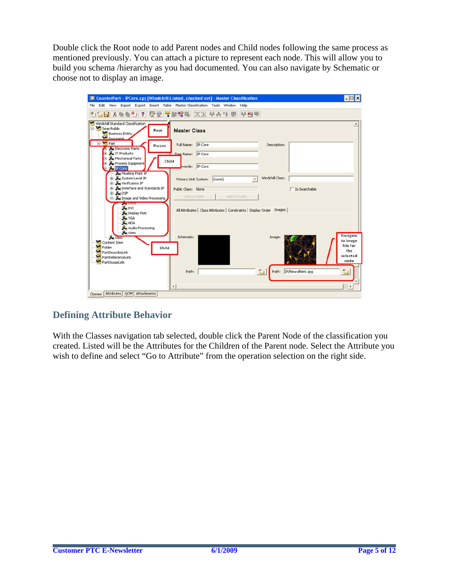Double click the Root node to add Parent nodes and Child nodes following the same process as mentioned previously. You can attach a picture to represent each node. This will allow you to build you schema /hierarchy as you had documented. You can also navigate by Schematic or choose not to display an image.



## **Defining Attribute Behavior**

With the Classes navigation tab selected, double click the Parent Node of the classification you created. Listed will be the Attributes for the Children of the Parent node. Select the Attribute you wish to define and select "Go to Attribute" from the operation selection on the right side.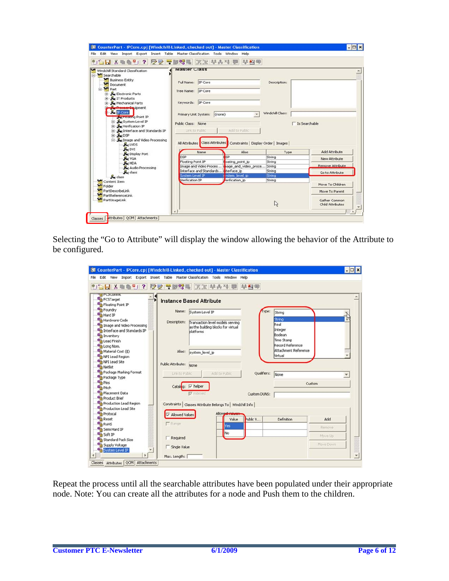| 10日以重叠2012 受受 受關80年 医温琴表性婴 毕图里                                                       |                     |                                                   |                                                                      |                  |                  |
|--------------------------------------------------------------------------------------|---------------------|---------------------------------------------------|----------------------------------------------------------------------|------------------|------------------|
| Windchill Standard Classification<br>Searchable                                      | <b>Master Class</b> |                                                   |                                                                      |                  |                  |
| Business Entity<br>Document                                                          |                     | Full Name: IP Core                                |                                                                      | Description:     |                  |
| Part<br><b>ED</b> Electronic Parts                                                   |                     | Tree Name: IP Core                                |                                                                      |                  |                  |
| <b>F</b> Ru IT Products<br><b>Hal Mechanical Parts</b>                               |                     | Keywords: IP Core                                 |                                                                      |                  |                  |
| <b>Ky Presser Equipment</b><br><b>Pal IP Core</b><br><b>Tel Froating Point IP</b>    |                     | Primary Unit System: (none)                       |                                                                      | Windchill Class: |                  |
| <b>B</b> R <sub>M</sub> System Level IP<br><b>E</b> Nerification IP                  | Public Class: None  |                                                   |                                                                      |                  | □ Is Searchable  |
|                                                                                      |                     |                                                   |                                                                      |                  |                  |
| Fig. Interface and Standards IP<br>E Ru DSP<br>Mu Image and Video Processing         |                     | Link to Public                                    | Add to Public                                                        |                  |                  |
| <b>R</b> <sub>H</sub> LVDS<br><b>Rei DVI</b>                                         |                     |                                                   | All Attributes Class Attributes Constraints   Display Order   Images |                  |                  |
| <b>He</b> Display Port                                                               |                     | Name                                              | Alias                                                                | Type             | Add Attribute    |
| <b>FL</b> VGA                                                                        | <b>DSP</b>          |                                                   | <b>SP</b>                                                            | String           | New Attribute    |
| <b>Rei HDA</b>                                                                       | Floating Point IP   |                                                   | oating_point_ip                                                      | String           | Remove Attribute |
| <b>Ru</b> Audio Processing                                                           |                     | Image and Video Proces<br>Interface and Standards | hage and video proce String                                          |                  |                  |
| Rei class                                                                            | System Level IP     |                                                   | terface ip                                                           | String           | Go to Attribute  |
| Pai class                                                                            | Verification IP     |                                                   | ystem_level_ip<br>erification ip                                     | String<br>String |                  |
|                                                                                      |                     |                                                   |                                                                      |                  | Move To Children |
| Content Item<br>Folder<br><b>M<sup>H</sup></b> PartDescribeLink<br>PartReferenceLink |                     |                                                   |                                                                      |                  | Move To Parent   |

Selecting the "Go to Attribute" will display the window allowing the behavior of the Attribute to be configured.

| File                                                         | 图 CounterPart - IPCore.cpj [Windchill-Linked, checked out] - Master Classification<br>Edit View Import Export Insert Table Master-Classification Tools Window Help | $ \Box$ $x$ |
|--------------------------------------------------------------|--------------------------------------------------------------------------------------------------------------------------------------------------------------------|-------------|
|                                                              | SH & DARI? 오랫동물영화 동물 부승적 및 부원의                                                                                                                                     |             |
| <b>B PCSCURRE</b><br><b>机 FCSTarget</b><br>Floating Point IP | <b>Instance Based Attribute</b>                                                                                                                                    |             |
| <b>All Foundry</b><br><b>Ah</b> Hard IP                      | Type:<br>Name: System Level IP<br>String                                                                                                                           |             |
| Hardware Code<br>Th Image and Video Processing               | <b>String</b><br>Description:<br>Transaction level models serving<br>Real<br>as the building blocks for virtual                                                    |             |
| The Interface and Standards IP<br><b>All Inventory</b>       | Integer<br>platforms<br>Boolean                                                                                                                                    |             |
| <b>Ah Lead Finish</b>                                        | Time Stamp<br>Record Reference                                                                                                                                     |             |
| The Long Nom.<br>Material Cost (\$)                          | Attachment Reference<br>Alias:<br>system level ip                                                                                                                  |             |
| NPI Lead Region<br>Ah NPI Lead Site                          | Virtual                                                                                                                                                            |             |
| <b>Ah</b> Netlist                                            | Public Attribute: None                                                                                                                                             |             |
| Package Marking Format<br>Package Type                       | Add to Public<br>Qualifiers:<br>Link to Public<br>None                                                                                                             |             |
| <b>All Pins</b>                                              |                                                                                                                                                                    | Custom      |
| <b>All Pitch</b><br><b>X<sub>h</sub></b> Placement Data      | Catalog: IV helper                                                                                                                                                 |             |
| <b>Ah</b> Product Brief                                      | $\nabla$ indexed<br>Custom DUNS:                                                                                                                                   |             |
| Production Lead Region                                       | Constraints   Classes Attribute Belongs To   Windchill Info                                                                                                        |             |
| Production Lead Site<br><b>Ah</b> Protocal                   | Allowed Value<br><b>Allowed Values</b>                                                                                                                             |             |
| <b>Reset</b>                                                 | Public V<br>Definition<br>Value                                                                                                                                    | Add         |
| <b>ROHS</b>                                                  | $\Gamma$ Range<br>Yes:                                                                                                                                             | Remove      |
| Semi Hard IP<br><b>All Soft IP</b>                           | No                                                                                                                                                                 |             |
| <b>XH</b> Standard Pack Size                                 | <b>F</b> Required                                                                                                                                                  | Move Up     |
| Supply Voltage                                               | Single Value                                                                                                                                                       | Move Down   |
| System Level IP<br>Þ.                                        |                                                                                                                                                                    |             |
| Classes Attributes   QOM   Attachments                       | Max. Length:                                                                                                                                                       |             |

Repeat the process until all the searchable attributes have been populated under their appropriate node. Note: You can create all the attributes for a node and Push them to the children.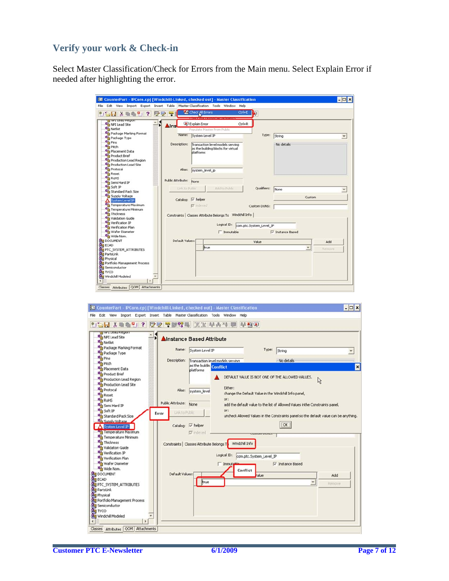## **Verify your work & Check-in**

Select Master Classification/Check for Errors from the Main menu. Select Explain Error if needed after highlighting the error.

| <b>El CounterPart - IPCore.cpj [Windchill-Linked, checked out] - Master Classification</b>                           |                    |                                                                                     |                         |                          | $ \Box$ $\times$ |
|----------------------------------------------------------------------------------------------------------------------|--------------------|-------------------------------------------------------------------------------------|-------------------------|--------------------------|------------------|
| Edit View Import Export Insert Table Master-Classification Tools Window Help<br>File                                 |                    |                                                                                     |                         |                          |                  |
| <b>TERS &amp; 21?</b><br>22                                                                                          |                    | Check All Errors<br>Ctrl+E<br>-----------------------                               | <b>k</b>                |                          |                  |
| IT INFLILED LI PLEYDOL<br>NPI Lead Site<br><b>White</b> Netlist                                                      | $\blacksquare$ Ins | Explain Error<br>$CtrI+R$<br>Populate Master from Public                            |                         |                          |                  |
| Package Marking Format<br>Package Type                                                                               |                    | Name: System Level IP                                                               | Type:                   | String                   |                  |
| <b>Right</b> Pins<br><b>Kill</b> Pitch<br>Placement Data<br>Product Brief<br>Production Lead Region                  | Description:       | Transaction level models serving<br>as the building blocks for virtual<br>platforms |                         | No details               |                  |
| Production Lead Site<br>Protocal<br><b>All Reset</b><br><b>RoHS</b><br>Semi Hard IP                                  | Public Attribute:  | Alias: system_level_ip<br>None                                                      |                         |                          |                  |
| <b>All Soft IP</b><br>Standard Pack Size                                                                             | Link to Public     | Add to Public                                                                       | Qualifiers:             | None                     |                  |
| <b>All Supply Voltage</b><br>System Level IP                                                                         | Catalog: V helper  |                                                                                     |                         | Custom                   |                  |
| Temperature Maximum<br>Temperature Minimum                                                                           |                    | $\nabla$ indexed                                                                    | Custom DUNS:            |                          |                  |
| <b>All Thickness</b><br>Validation Guide                                                                             |                    | Constraints   Classes Attribute Belongs To Windchill Info                           |                         |                          |                  |
| Verification IP<br>Wh Verification Plan                                                                              |                    | Logical ID:                                                                         | com.ptc.System_Level_IP |                          |                  |
| Wafer Diameter<br>Wide Nom.                                                                                          |                    | <b>T</b> Immutable                                                                  |                         | V Instance Based         |                  |
| <b>BU</b> DOCUMENT                                                                                                   | Default Values:    |                                                                                     | Value                   |                          | Add              |
| <b>BUECAD</b><br>PTC_SYSTEM_ATTRIBUTES                                                                               |                    | true                                                                                |                         | $\overline{\phantom{a}}$ | Remove           |
| PartsLink<br><b>Physical</b><br>Portfolio Management Process<br>Semiconductor<br><b>ERITYCO</b><br>Windchill Modeled |                    |                                                                                     |                         |                          |                  |
| Classes Attributes QOM Attachments                                                                                   |                    |                                                                                     |                         |                          |                  |

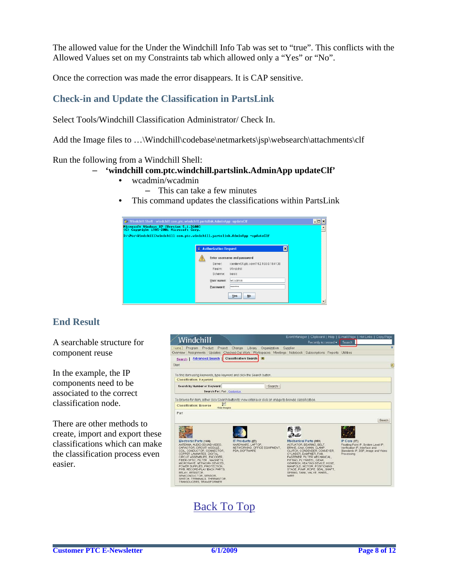The allowed value for the Under the Windchill Info Tab was set to "true". This conflicts with the Allowed Values set on my Constraints tab which allowed only a "Yes" or "No".

Once the correction was made the error disappears. It is CAP sensitive.

## **Check-in and Update the Classification in PartsLink**

Select Tools/Windchill Classification Administrator/ Check In.

Add the Image files to ...\Windchill\codebase\netmarkets\jsp\websearch\attachments\clf

#### Run the following from a Windchill Shell:

#### – **'windchill com.ptc.windchill.partslink.AdminApp updateClf'**

- wcadmin/wcadmin
	- This can take a few minutes
- This command updates the classifications within PartsLink

| Windchill Shell - windchill com.ptc.windchill.partslink.AdminApp -updateClf<br>Microsoft Windows XP [Version 5.1.2600]<br>(C) Copyright 1985-2001 Microsoft Corp.<br>D:\Ptc\Windchill>windchill com.ptc.windchill.partslink.AdminApp -updateClf |    |                                                                                         |                                                                                                                             | - 0 ×           | Ė |
|-------------------------------------------------------------------------------------------------------------------------------------------------------------------------------------------------------------------------------------------------|----|-----------------------------------------------------------------------------------------|-----------------------------------------------------------------------------------------------------------------------------|-----------------|---|
|                                                                                                                                                                                                                                                 | ہ≝ | <b>Authorization Request</b><br>Server:<br>Realm:<br>Scheme:<br>User name:<br>Password: | Enter username and password<br>icenterv01.ptc.com/192.168.0.184138<br>Windchill<br>basic<br>wcadmin<br>*******<br>No<br>Yes | $\vert x \vert$ |   |

## **End Result**

A searchable structure for component reuse

In the example, the IP components need to be associated to the correct classification node.

There are other methods to create, import and export these classifications which can make the classification process even easier.

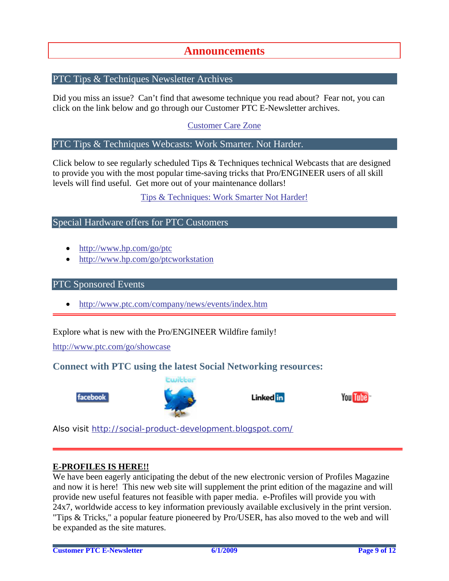## **Announcements**

### <span id="page-8-0"></span>PTC Tips & Techniques Newsletter Archives

Did you miss an issue? Can't find that awesome technique you read about? Fear not, you can click on the link below and go through our Customer PTC E-Newsletter archives.

[Customer Care Zone](http://www.ptc.com/carezone/)

#### PTC Tips & Techniques Webcasts: Work Smarter. Not Harder.

Click below to see regularly scheduled Tips & Techniques technical Webcasts that are designed to provide you with the most popular time-saving tricks that Pro/ENGINEER users of all skill levels will find useful. Get more out of your maintenance dollars!

#### [Tips & Techniques: Work Smarter Not Harder!](http://www.ptc.com/appserver/it/icm/cda/template_lib/events/series.jsp?&im_dbkey=11442&icg_dbkey=141)

### Special Hardware offers for PTC Customers

- <http://www.hp.com/go/ptc>
- <http://www.hp.com/go/ptcworkstation>

#### PTC Sponsored Events

• http://www.ptc.com/company/news/events/index.htm

Explore what is new with the Pro/ENGINEER Wildfire family!

<http://www.ptc.com/go/showcase>

### **Connect with PTC using the latest Social Networking resources:**





Linked in



Also visit<http://social-product-development.blogspot.com/>

#### **E-PROFILES IS HERE!!**

We have been eagerly anticipating the debut of the new electronic version of Profiles Magazine and now it is here! This new web site will supplement the print edition of the magazine and will provide new useful features not feasible with paper media. e-Profiles will provide you with 24x7, worldwide access to key information previously available exclusively in the print version. "Tips & Tricks," a popular feature pioneered by Pro/USER, has also moved to the web and will be expanded as the site matures.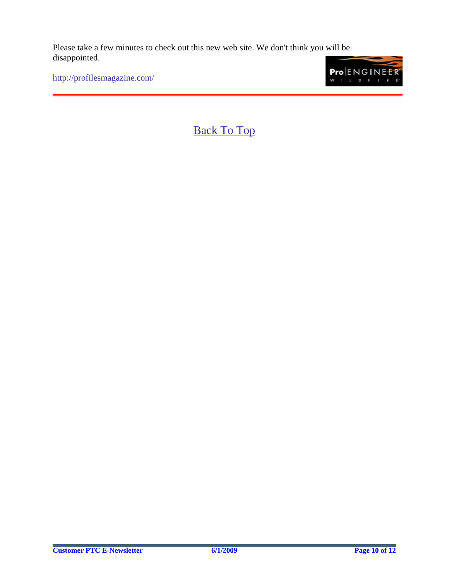Please take a few minutes to check out this new web site. We don't think you will be disappointed.

<http://profilesmagazine.com/>

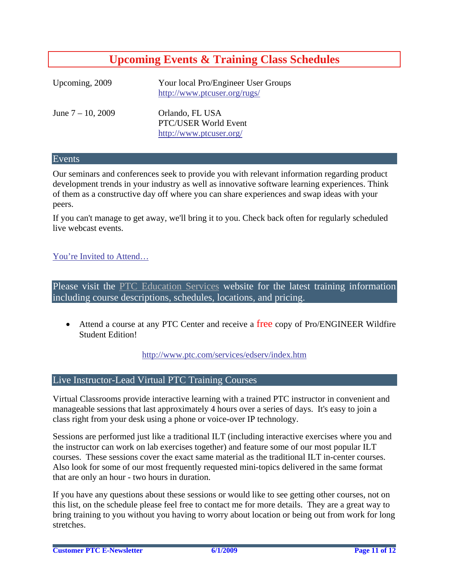# **Upcoming Events & Training Class Schedules**

<span id="page-10-0"></span>

| Upcoming, 2009       | Your local Pro/Engineer User Groups<br>http://www.ptcuser.org/rugs/ |
|----------------------|---------------------------------------------------------------------|
| June $7 - 10$ , 2009 | Orlando, FL USA<br>PTC/USER World Event<br>http://www.ptcuser.org/  |

#### Events

Our seminars and conferences seek to provide you with relevant information regarding product development trends in your industry as well as innovative software learning experiences. Think of them as a constructive day off where you can share experiences and swap ideas with your peers.

If you can't manage to get away, we'll bring it to you. Check back often for regularly scheduled live webcast events.

### [You're Invited to Attend…](http://www.ptc.com/company/news/events/index.htm)

Please visit the [PTC Education Services](http://www.ptc.com/services/edserv/) website for the latest training information including course descriptions, schedules, locations, and pricing.

• Attend a course at any PTC Center and receive a free copy of Pro/ENGINEER Wildfire Student Edition!

<http://www.ptc.com/services/edserv/index.htm>

#### Live Instructor-Lead Virtual PTC Training Courses

Virtual Classrooms provide interactive learning with a trained PTC instructor in convenient and manageable sessions that last approximately 4 hours over a series of days. It's easy to join a class right from your desk using a phone or voice-over IP technology.

Sessions are performed just like a traditional ILT (including interactive exercises where you and the instructor can work on lab exercises together) and feature some of our most popular ILT courses. These sessions cover the exact same material as the traditional ILT in-center courses. Also look for some of our most frequently requested mini-topics delivered in the same format that are only an hour - two hours in duration.

If you have any questions about these sessions or would like to see getting other courses, not on this list, on the schedule please feel free to contact me for more details. They are a great way to bring training to you without you having to worry about location or being out from work for long stretches.